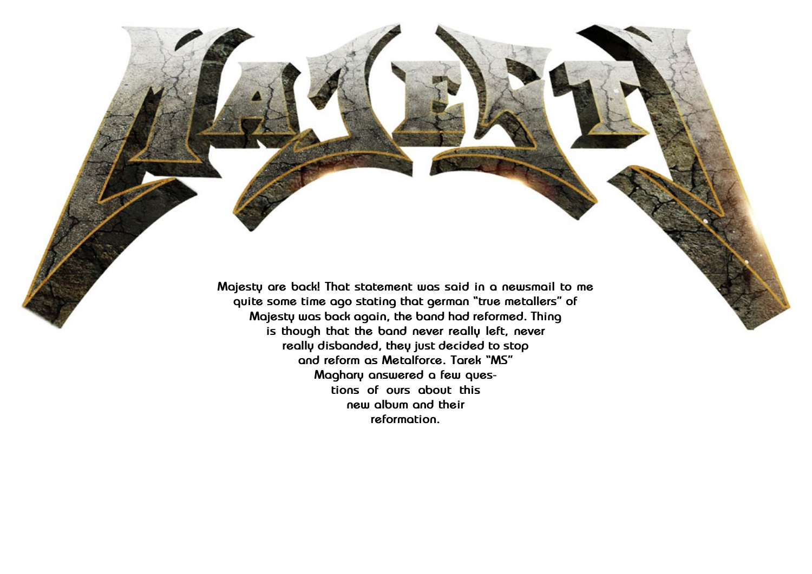

**really disbanded, they just decided to stop and reform as Metalforce. Tarek "MS" Maghary answered a few questions of ours about this new album and their reformation.**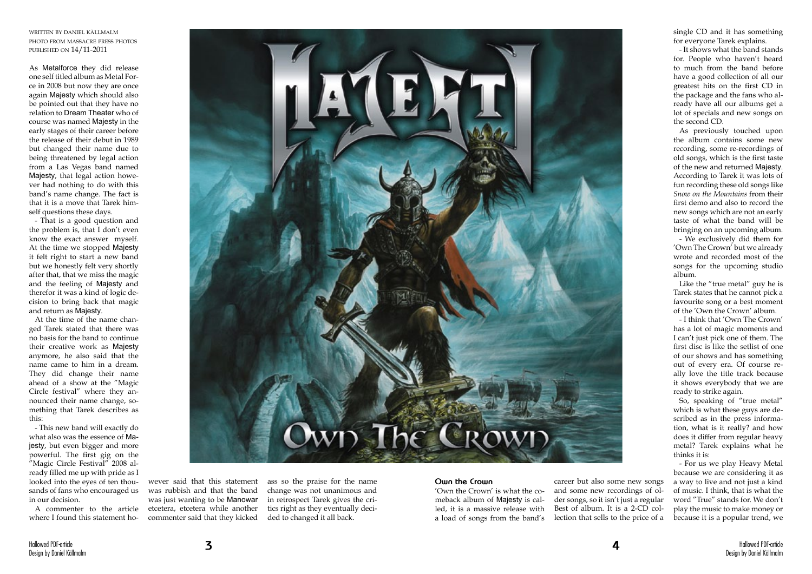written by daniel källmalm photo from massacre press photos published on 14/11-2011

As Metalforce they did release one self titled album as Metal Force in 2008 but now they are once again Majesty which should also be pointed out that they have no relation to Dream Theater who of course was named Majesty in the early stages of their career before the release of their debut in 1989 but changed their name due to being threatened by legal action from a Las Vegas band named Majesty, that legal action however had nothing to do with this band's name change. The fact is that it is a move that Tarek himself questions these days.

- That is a good question and the problem is, that I don't even know the exact answer myself. At the time we stopped Majesty it felt right to start a new band but we honestly felt very shortly after that, that we miss the magic and the feeling of Majesty and therefor it was a kind of logic decision to bring back that magic and return as Majesty.

At the time of the name changed Tarek stated that there was no basis for the band to continue their creative work as Majesty anymore, he also said that the name came to him in a dream. They did change their name ahead of a show at the "Magic Circle festival" where they announced their name change, something that Tarek describes as this:

- This new band will exactly do what also was the essence of Majesty, but even bigger and more powerful. The first gig on the "Magic Circle Festival" 2008 already filled me up with pride as I looked into the eyes of ten thousands of fans who encouraged us in our decision.

A commenter to the article where I found this statement ho-



wever said that this statement was rubbish and that the band was just wanting to be Manowar etcetera, etcetera while another commenter said that they kicked

ass so the praise for the name change was not unanimous and in retrospect Tarek gives the critics right as they eventually decided to changed it all back.

## **Own the Crown**

'Own the Crown' is what the comeback album of Majesty is called, it is a massive release with a load of songs from the band's

career but also some new songs and some new recordings of older songs, so it isn't just a regular Best of album. It is a 2-CD collection that sells to the price of a single CD and it has something for everyone Tarek explains.

- It shows what the band stands for. People who haven't heard to much from the band before have a good collection of all our greatest hits on the first CD in the package and the fans who already have all our albums get a lot of specials and new songs on the second CD.

As previously touched upon the album contains some new recording, some re-recordings of old songs, which is the first taste of the new and returned Majesty. According to Tarek it was lots of fun recording these old songs like *Snow on the Mountains* from their first demo and also to record the new songs which are not an early taste of what the band will be bringing on an upcoming album.

- We exclusively did them for 'Own The Crown' but we already wrote and recorded most of the songs for the upcoming studio album.

Like the "true metal" guy he is Tarek states that he cannot pick a favourite song or a best moment of the 'Own the Crown' album.

- I think that 'Own The Crown' has a lot of magic moments and I can't just pick one of them. The first disc is like the setlist of one of our shows and has something out of every era. Of course really love the title track because it shows everybody that we are ready to strike again.

So, speaking of "true metal" which is what these guys are described as in the press information, what is it really? and how does it differ from regular heavy metal? Tarek explains what he thinks it is:

- For us we play Heavy Metal because we are considering it as a way to live and not just a kind of music. I think, that is what the word "True" stands for. We don't play the music to make money or because it is a popular trend, we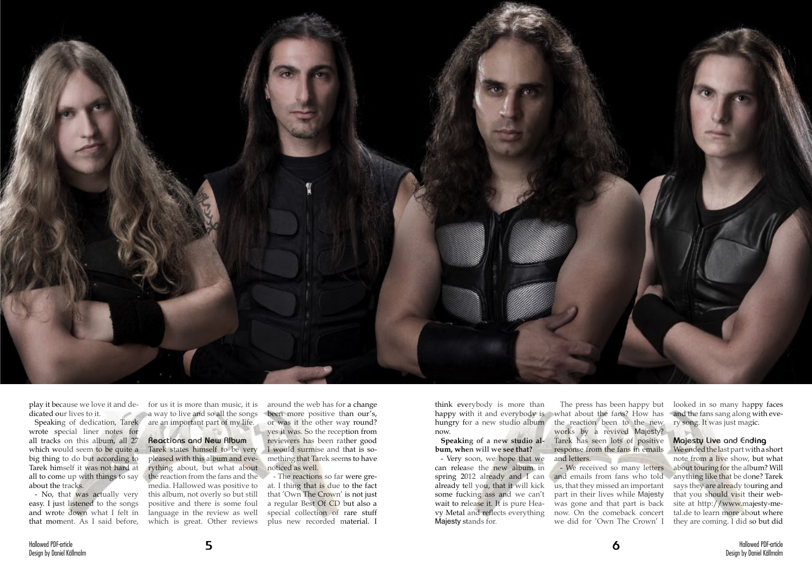

play it because we love it and dedicated our lives to it.

Speaking of dedication, Tarek wrote special liner notes for all tracks on this album, all 27 which would seem to be quite a big thing to do but according to Tarek himself it was not hard at all to come up with things to say about the tracks.

- No, that was actually very easy. I just listened to the songs and wrote down what I felt in that moment. As I said before,

for us it is more than music, it is a way to live and so all the songs are an important part of my life.

**Reactions and New Album** Tarek states himself to be very pleased with this album and everything about, but what about the reaction from the fans and the media. Hallowed was positive to this album, not overly so but still positive and there is some foul language in the review as well which is great. Other reviews

The press has been happy but works by a revived Majesty? Tarek has seen lots of positive response from the fans in emails and letters. **Children** and

around the web has for a change been more positive than our's, or was it the other way round? yes it was. So the reception from reviewers has been rather good I would surmise and that is something that Tarek seems to have noticed as well.

- The reactions so far were great. I thing that is due to the fact that 'Own The Crown' is not just a regular Best Of CD but also a special collection of rare stuff plus new recorded material. I

think everybody is more than happy with it and everybody is what about the fans? How has hungry for a new studio album the reaction been to the new now.

## **Speaking of a new studio album, when will we see that?**

- Very soon, we hope that we can release the new album in spring 2012 already and I can already tell you, that it will kick some fucking ass and we can't wait to release it. It is pure Heavy Metal and reflects everything Majesty stands for.

- We received so many letters and emails from fans who told us, that they missed an important part in their lives while Majesty was gone and that part is back now. On the comeback concert we did for 'Own The Crown' I

looked in so many happy faces and the fans sang along with every song. It was just magic.

## **Majesty Live and Ending**

We ended the last part with a short note from a live show, but what about touring for the album? Will anything like that be done? Tarek says they are already touring and that you should visit their website at http://www.majesty-metal.de to learn more about where they are coming. I did so but did